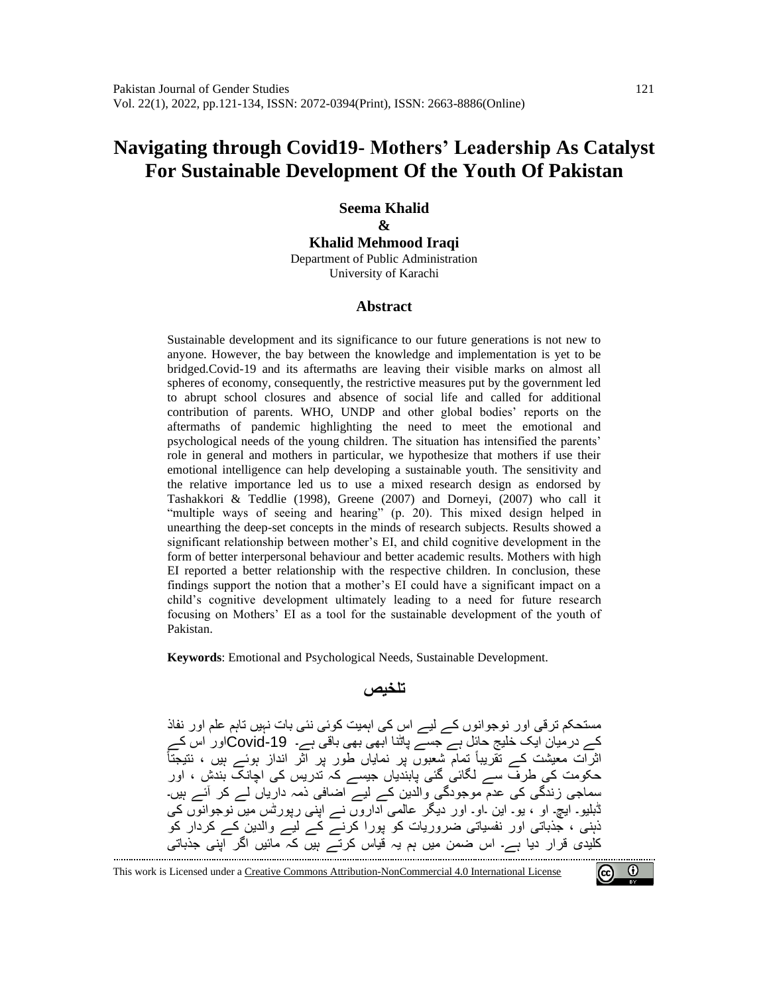# **Navigating through Covid19- Mothers' Leadership As Catalyst For Sustainable Development Of the Youth Of Pakistan**

**Seema Khalid & Khalid Mehmood Iraqi** Department of Public Administration

University of Karachi

#### **Abstract**

Sustainable development and its significance to our future generations is not new to anyone. However, the bay between the knowledge and implementation is yet to be bridged.Covid-19 and its aftermaths are leaving their visible marks on almost all spheres of economy, consequently, the restrictive measures put by the government led to abrupt school closures and absence of social life and called for additional contribution of parents. WHO, UNDP and other global bodies' reports on the aftermaths of pandemic highlighting the need to meet the emotional and psychological needs of the young children. The situation has intensified the parents' role in general and mothers in particular, we hypothesize that mothers if use their emotional intelligence can help developing a sustainable youth. The sensitivity and the relative importance led us to use a mixed research design as endorsed by Tashakkori & Teddlie (1998), Greene (2007) and Dorneyi, (2007) who call it "multiple ways of seeing and hearing" (p. 20). This mixed design helped in unearthing the deep-set concepts in the minds of research subjects. Results showed a significant relationship between mother's EI, and child cognitive development in the form of better interpersonal behaviour and better academic results. Mothers with high EI reported a better relationship with the respective children. In conclusion, these findings support the notion that a mother's EI could have a significant impact on a child's cognitive development ultimately leading to a need for future research focusing on Mothers' EI as a tool for the sustainable development of the youth of Pakistan.

**Keywords**: Emotional and Psychological Needs, Sustainable Development.

#### **تلخیص**

مستحکم ترقی اور نوجوانوں کے لیے اس کی اہمیت کوئی نئی بات نہیں تاہم علم اور نفاذ کے درمیان ایک خلیج حائل ہے جسے پاٹنا ابھی بھی باقی ہے۔ -19Covidاور اس کے اثرات معیشت کے تقریباً تمام شعبوں پر نمایاں طور پر آثر انداز ہوئے ہیں ، نتیجتاً حکومت کی طرف سے لگائی گئی پابندیاں جیسے کہ تدریس کی اچانک بندش ، اور سماجی زندگی کی عدم موجودگی والدین کے لیے اضافی ذمہ داریاں لے کر آئے ہیں۔ ڈبلیو۔ ایچ۔ او ، یو۔ این ۔او۔ اور دیگر عالمی اداروں نے اپنی رپورٹس میں نوجوانوں کی ذہنی ، جذباتی اور نفسیاتی ضروریات کو پورا کرنے کے لیے والدین کے کردار کو کلیدی قرار دیا ہے۔ اس ضمن میں ہم یہ قیاس کرتے ہیں کہ مائیں اگر اپنی جذباتی

 $\bm{\omega}$  $(cc)$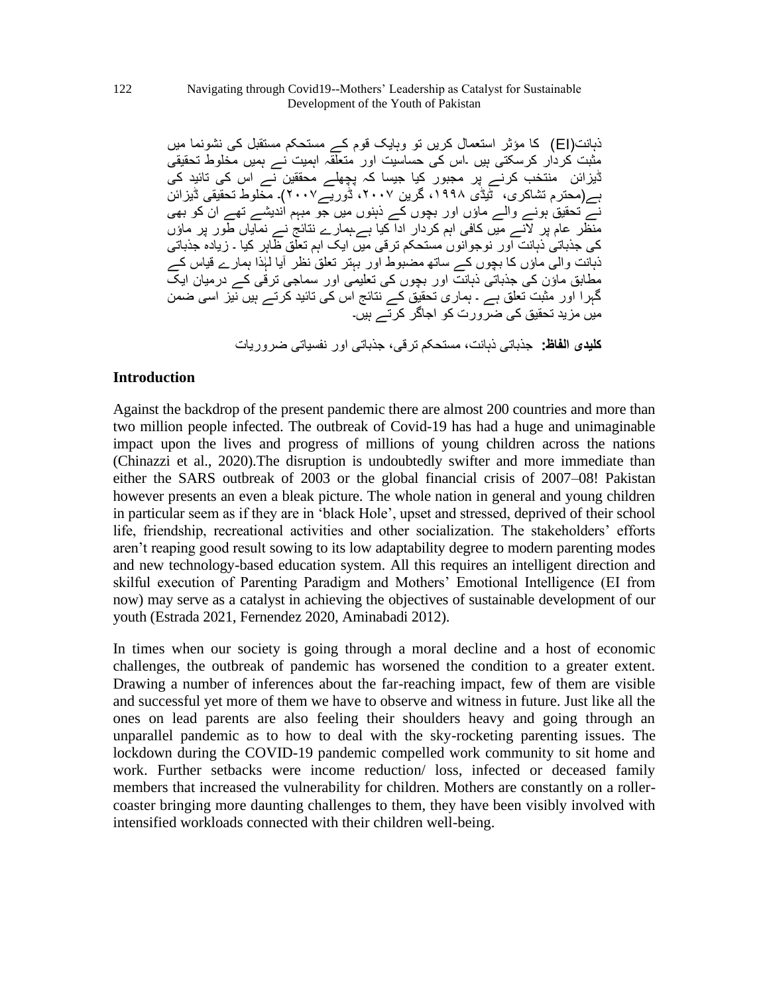ذہانت)EI )کا مؤثر استعمال کریں تو وہایک قوم کے مستحکم مستقبل کی نشونما میں مثبت کردار کرسکتی ہیں ۔اس کی حساسیت اور متعلقہ اہمیت نے ہمیں مخلوط تحقیقی ڈیزائن منتخب کرنے پر مجبور کیا جیسا کہ پچھلے محققین نے اس کی تائید کی ہے)محترم تشاکری، ٹیڈی ،۱۹۹۸ گرین ،۲٠٠۷ ڈوریے۲٠٠۷(۔ مخلوط تحقیقی ڈیزائن نے تحقیق ہونے والے ماؤں اور بچوں کے ذہنوں میں جو مبہم اندیشے تھے ان کو بھی منظر عام پر النے میں کافی اہم کردار ادا کیا ہے۔ہمارے نتائج نے نمایاں طور پر ماؤں کی جذباتی ذہانت اور نوجوانوں مستحکم ترقی میں ایک اہم تعلق ظاہر کیا ۔ زیادہ جذباتی ذہانت والٰی ماؤں کا بچوں کے ساتھ مضبوط اور بہتر تعلق نظر آیا لہٰذا ہمارے قیاس کے مطابق ماؤن کی جذباتی ذہانت اور بچوں کی تعلیمی اور سماجی ترقی کے درمیان ایک گہرا اور مثبت تعلق ہے ۔ ہماری تحقیق کے نتائج اس کی تائید کرتے ہیں نیز اسی ضمن میں مزید تحقیق کی ضرورت کو اجاگر کرتے ہیں۔ **کلیدی الفاظ:** جذباتی ذہانت، مستحکم ترقی، جذباتی اور نفسیاتی ضروریات

## **Introduction**

Against the backdrop of the present pandemic there are almost 200 countries and more than two million people infected. The outbreak of Covid-19 has had a huge and unimaginable impact upon the lives and progress of millions of young children across the nations (Chinazzi et al., 2020).The disruption is undoubtedly swifter and more immediate than either the SARS outbreak of 2003 or the global financial crisis of 2007–08! Pakistan however presents an even a bleak picture. The whole nation in general and young children in particular seem as if they are in 'black Hole', upset and stressed, deprived of their school life, friendship, recreational activities and other socialization. The stakeholders' efforts aren't reaping good result sowing to its low adaptability degree to modern parenting modes and new technology-based education system. All this requires an intelligent direction and skilful execution of Parenting Paradigm and Mothers' Emotional Intelligence (EI from now) may serve as a catalyst in achieving the objectives of sustainable development of our youth (Estrada 2021, Fernendez 2020, Aminabadi 2012).

In times when our society is going through a moral decline and a host of economic challenges, the outbreak of pandemic has worsened the condition to a greater extent. Drawing a number of inferences about the far-reaching impact, few of them are visible and successful yet more of them we have to observe and witness in future. Just like all the ones on lead parents are also feeling their shoulders heavy and going through an unparallel pandemic as to how to deal with the sky-rocketing parenting issues. The lockdown during the COVID-19 pandemic compelled work community to sit home and work. Further setbacks were income reduction/ loss, infected or deceased family members that increased the vulnerability for children. Mothers are constantly on a rollercoaster bringing more daunting challenges to them, they have been visibly involved with intensified workloads connected with their children well-being.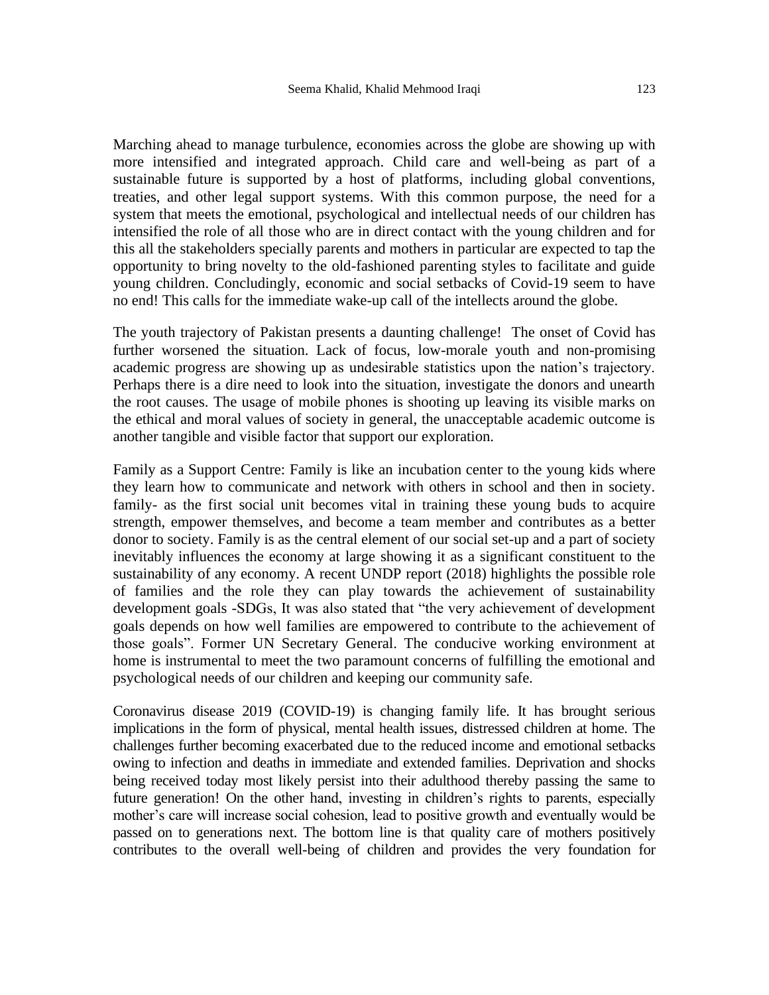Marching ahead to manage turbulence, economies across the globe are showing up with more intensified and integrated approach. Child care and well-being as part of a sustainable future is supported by a host of platforms, including global conventions, treaties, and other legal support systems. With this common purpose, the need for a system that meets the emotional, psychological and intellectual needs of our children has intensified the role of all those who are in direct contact with the young children and for this all the stakeholders specially parents and mothers in particular are expected to tap the opportunity to bring novelty to the old-fashioned parenting styles to facilitate and guide young children. Concludingly, economic and social setbacks of Covid-19 seem to have no end! This calls for the immediate wake-up call of the intellects around the globe.

The youth trajectory of Pakistan presents a daunting challenge! The onset of Covid has further worsened the situation. Lack of focus, low-morale youth and non-promising academic progress are showing up as undesirable statistics upon the nation's trajectory. Perhaps there is a dire need to look into the situation, investigate the donors and unearth the root causes. The usage of mobile phones is shooting up leaving its visible marks on the ethical and moral values of society in general, the unacceptable academic outcome is another tangible and visible factor that support our exploration.

Family as a Support Centre: Family is like an incubation center to the young kids where they learn how to communicate and network with others in school and then in society. family- as the first social unit becomes vital in training these young buds to acquire strength, empower themselves, and become a team member and contributes as a better donor to society. Family is as the central element of our social set-up and a part of society inevitably influences the economy at large showing it as a significant constituent to the sustainability of any economy. A recent UNDP report (2018) highlights the possible role of families and the role they can play towards the achievement of sustainability development goals -SDGs, It was also stated that "the very achievement of development goals depends on how well families are empowered to contribute to the achievement of those goals". Former UN Secretary General. The conducive working environment at home is instrumental to meet the two paramount concerns of fulfilling the emotional and psychological needs of our children and keeping our community safe.

Coronavirus disease 2019 (COVID-19) is changing family life. It has brought serious implications in the form of physical, mental health issues, distressed children at home. The challenges further becoming exacerbated due to the reduced income and emotional setbacks owing to infection and deaths in immediate and extended families. Deprivation and shocks being received today most likely persist into their adulthood thereby passing the same to future generation! On the other hand, investing in children's rights to parents, especially mother's care will increase social cohesion, lead to positive growth and eventually would be passed on to generations next. The bottom line is that quality care of mothers positively contributes to the overall well-being of children and provides the very foundation for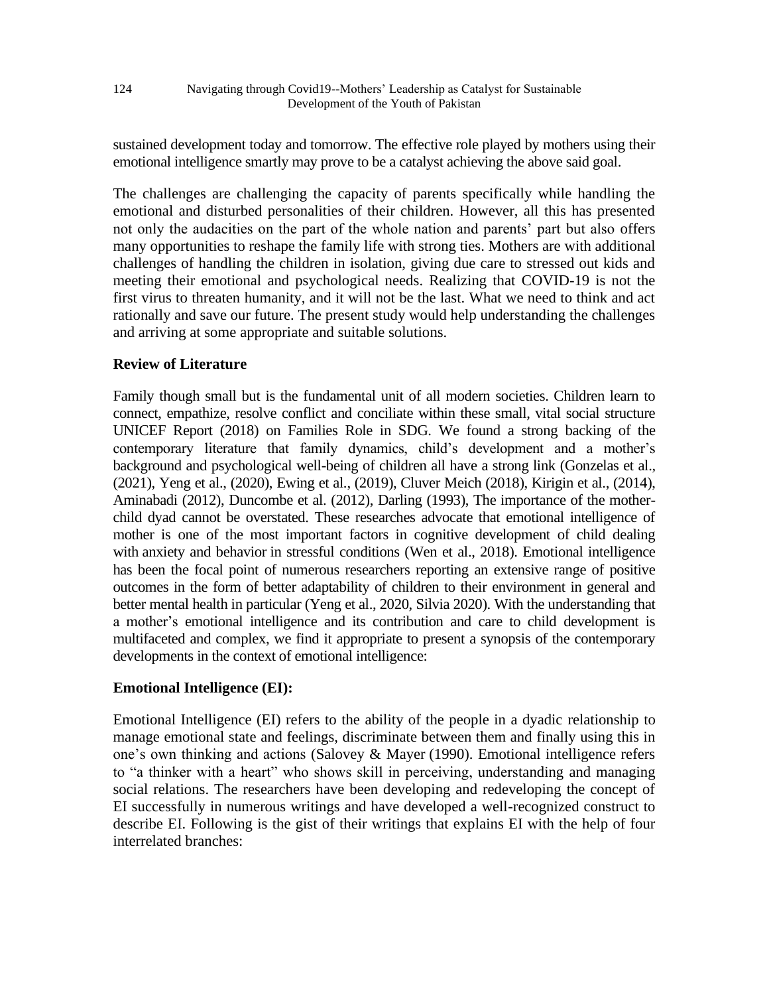124 Navigating through Covid19--Mothers' Leadership as Catalyst for Sustainable Development of the Youth of Pakistan

sustained development today and tomorrow. The effective role played by mothers using their emotional intelligence smartly may prove to be a catalyst achieving the above said goal.

The challenges are challenging the capacity of parents specifically while handling the emotional and disturbed personalities of their children. However, all this has presented not only the audacities on the part of the whole nation and parents' part but also offers many opportunities to reshape the family life with strong ties. Mothers are with additional challenges of handling the children in isolation, giving due care to stressed out kids and meeting their emotional and psychological needs. Realizing that COVID-19 is not the first virus to threaten humanity, and it will not be the last. What we need to think and act rationally and save our future. The present study would help understanding the challenges and arriving at some appropriate and suitable solutions.

# **Review of Literature**

Family though small but is the fundamental unit of all modern societies. Children learn to connect, empathize, resolve conflict and conciliate within these small, vital social structure UNICEF Report (2018) on Families Role in SDG. We found a strong backing of the contemporary literature that family dynamics, child's development and a mother's background and psychological well-being of children all have a strong link (Gonzelas et al., (2021), Yeng et al., (2020), Ewing et al., (2019), Cluver Meich (2018), Kirigin et al., (2014), Aminabadi (2012), Duncombe et al. (2012), Darling (1993), The importance of the motherchild dyad cannot be overstated. These researches advocate that emotional intelligence of mother is one of the most important factors in cognitive development of child dealing with anxiety and behavior in stressful conditions (Wen et al., 2018). Emotional intelligence has been the focal point of numerous researchers reporting an extensive range of positive outcomes in the form of better adaptability of children to their environment in general and better mental health in particular (Yeng et al., 2020, Silvia 2020). With the understanding that a mother's emotional intelligence and its contribution and care to child development is multifaceted and complex, we find it appropriate to present a synopsis of the contemporary developments in the context of emotional intelligence:

# **Emotional Intelligence (EI):**

Emotional Intelligence (EI) refers to the ability of the people in a dyadic relationship to manage emotional state and feelings, discriminate between them and finally using this in one's own thinking and actions (Salovey & Mayer (1990). Emotional intelligence refers to "a thinker with a heart" who shows skill in perceiving, understanding and managing social relations. The researchers have been developing and redeveloping the concept of EI successfully in numerous writings and have developed a well-recognized construct to describe EI. Following is the gist of their writings that explains EI with the help of four interrelated branches: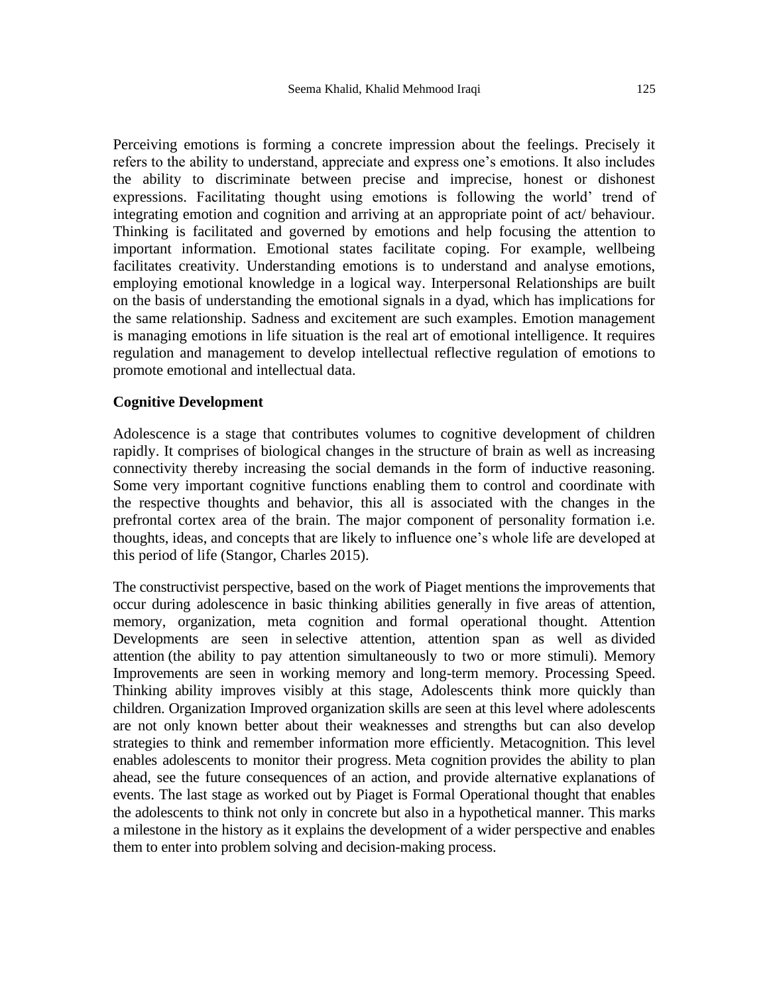Perceiving emotions is forming a concrete impression about the feelings. Precisely it refers to the ability to understand, appreciate and express one's emotions. It also includes the ability to discriminate between precise and imprecise, honest or dishonest expressions. Facilitating thought using emotions is following the world' trend of integrating emotion and cognition and arriving at an appropriate point of act/ behaviour. Thinking is facilitated and governed by emotions and help focusing the attention to important information. Emotional states facilitate coping. For example, wellbeing facilitates creativity. Understanding emotions is to understand and analyse emotions, employing emotional knowledge in a logical way. Interpersonal Relationships are built on the basis of understanding the emotional signals in a dyad, which has implications for the same relationship. Sadness and excitement are such examples. Emotion management is managing emotions in life situation is the real art of emotional intelligence. It requires regulation and management to develop intellectual reflective regulation of emotions to promote emotional and intellectual data.

#### **Cognitive Development**

Adolescence is a stage that contributes volumes to cognitive development of children rapidly. It comprises of biological changes in the structure of brain as well as increasing connectivity thereby increasing the social demands in the form of inductive reasoning. Some very important cognitive functions enabling them to control and coordinate with the respective thoughts and behavior, this all is associated with the changes in the prefrontal cortex area of the brain. The major component of personality formation i.e. thoughts, ideas, and concepts that are likely to influence one's whole life are developed at this period of life (Stangor, Charles 2015).

The constructivist perspective, based on the work of Piaget mentions the improvements that occur during adolescence in basic thinking abilities generally in five areas of attention, memory, organization, meta cognition and formal operational thought. Attention Developments are seen in selective attention, attention span as well as divided attention (the ability to pay attention simultaneously to two or more stimuli). Memory Improvements are seen in working memory and long-term memory. Processing Speed. Thinking ability improves visibly at this stage, Adolescents think more quickly than children. Organization Improved organization skills are seen at this level where adolescents are not only known better about their weaknesses and strengths but can also develop strategies to think and remember information more efficiently. Metacognition. This level enables adolescents to monitor their progress. Meta cognition provides the ability to plan ahead, see the future consequences of an action, and provide alternative explanations of events. The last stage as worked out by Piaget is Formal Operational thought that enables the adolescents to think not only in concrete but also in a hypothetical manner. This marks a milestone in the history as it explains the development of a wider perspective and enables them to enter into problem solving and decision-making process.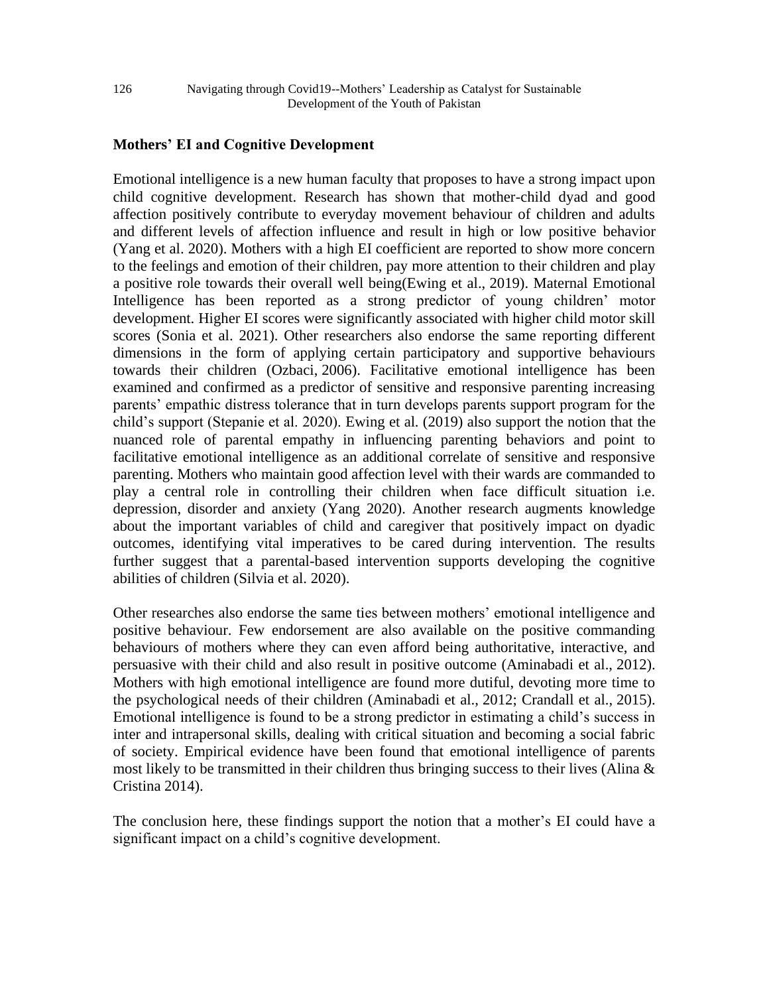# **Mothers' EI and Cognitive Development**

Emotional intelligence is a new human faculty that proposes to have a strong impact upon child cognitive development. Research has shown that mother-child dyad and good affection positively contribute to everyday movement behaviour of children and adults and different levels of affection influence and result in high or low positive behavior (Yang et al. 2020). Mothers with a high EI coefficient are reported to show more concern to the feelings and emotion of their children, pay more attention to their children and play a positive role towards their overall well being(Ewing et al., [2019\)](https://www.tandfonline.com/eprint/5AYM79RA3SEQSHVCRTVH/full?target=10.1080/17405629.2021.1918094). Maternal Emotional Intelligence has been reported as a strong predictor of young children' motor development. Higher EI scores were significantly associated with higher child motor skill scores (Sonia et al. 2021). Other researchers also endorse the same reporting different dimensions in the form of applying certain participatory and supportive behaviours towards their children (Ozbaci, [2006\)](https://www.tandfonline.com/eprint/5AYM79RA3SEQSHVCRTVH/full?target=10.1080/17405629.2021.1918094). Facilitative emotional intelligence has been examined and confirmed as a predictor of sensitive and responsive parenting increasing parents' empathic distress tolerance that in turn develops parents support program for the child's support (Stepanie et al. 2020). Ewing et al. (2019) also support the notion that the nuanced role of parental empathy in influencing parenting behaviors and point to facilitative emotional intelligence as an additional correlate of sensitive and responsive parenting. Mothers who maintain good affection level with their wards are commanded to play a central role in controlling their children when face difficult situation i.e. depression, disorder and anxiety (Yang 2020). Another research augments knowledge about the important variables of child and caregiver that positively impact on dyadic outcomes, identifying vital imperatives to be cared during intervention. The results further suggest that a parental-based intervention supports developing the cognitive abilities of children (Silvia et al. 2020).

Other researches also endorse the same ties between mothers' emotional intelligence and positive behaviour. Few endorsement are also available on the positive commanding behaviours of mothers where they can even afford being authoritative, interactive, and persuasive with their child and also result in positive outcome (Aminabadi et al., [2012\)](https://www.tandfonline.com/eprint/5AYM79RA3SEQSHVCRTVH/full?target=10.1080/17405629.2021.1918094). Mothers with high emotional intelligence are found more dutiful, devoting more time to the psychological needs of their children (Aminabadi et al., [2012;](https://www.tandfonline.com/eprint/5AYM79RA3SEQSHVCRTVH/full?target=10.1080/17405629.2021.1918094) Crandall et al., [2015\)](https://www.tandfonline.com/eprint/5AYM79RA3SEQSHVCRTVH/full?target=10.1080/17405629.2021.1918094). Emotional intelligence is found to be a strong predictor in estimating a child's success in inter and intrapersonal skills, dealing with critical situation and becoming a social fabric of society. Empirical evidence have been found that emotional intelligence of parents most likely to be transmitted in their children thus bringing success to their lives (Alina  $\&$ Cristina 2014).

The conclusion here, these findings support the notion that a mother's EI could have a significant impact on a child's cognitive development.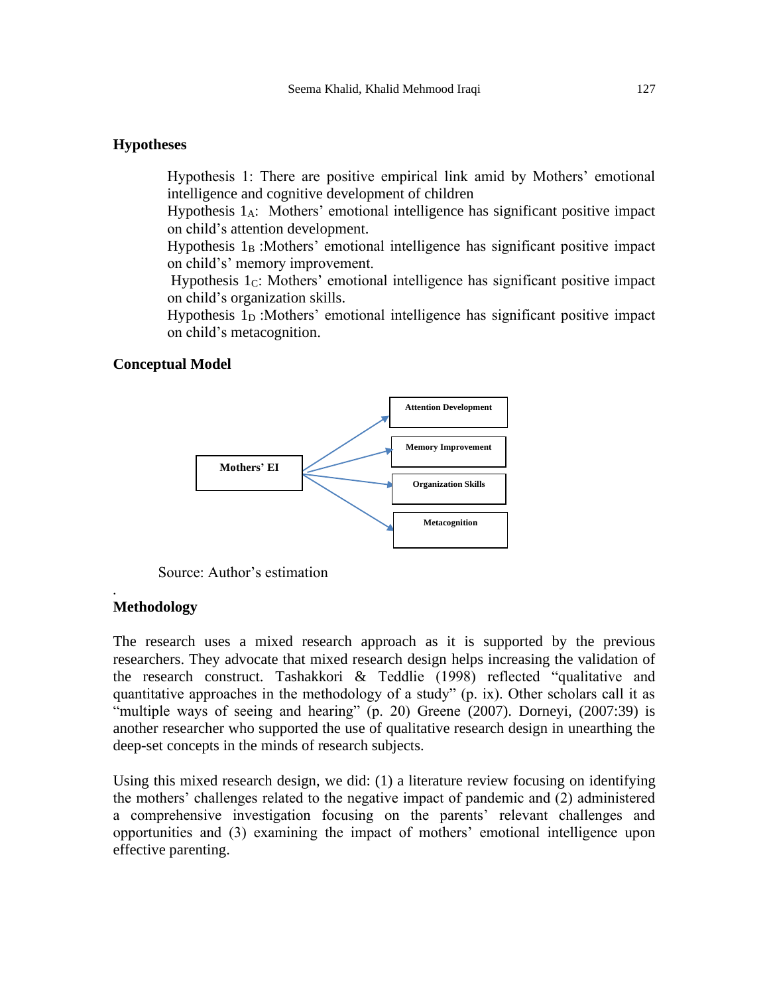## **Hypotheses**

Hypothesis 1: There are positive empirical link amid by Mothers' emotional intelligence and cognitive development of children

Hypothesis 1A: Mothers' emotional intelligence has significant positive impact on child's attention development.

Hypothesis  $1_B$  :Mothers' emotional intelligence has significant positive impact on child's' memory improvement.

Hypothesis  $1<sub>C</sub>$ : Mothers' emotional intelligence has significant positive impact on child's organization skills.

Hypothesis 1<sub>D</sub> : Mothers' emotional intelligence has significant positive impact on child's metacognition.

# **Conceptual Model**



Source: Author's estimation

## **Methodology**

*.*

The research uses a mixed research approach as it is supported by the previous researchers. They advocate that mixed research design helps increasing the validation of the research construct. Tashakkori & Teddlie (1998) reflected "qualitative and quantitative approaches in the methodology of a study" (p. ix). Other scholars call it as "multiple ways of seeing and hearing" (p. 20) Greene (2007). Dorneyi, (2007:39) is another researcher who supported the use of qualitative research design in unearthing the deep-set concepts in the minds of research subjects.

Using this mixed research design, we did: (1) a literature review focusing on identifying the mothers' challenges related to the negative impact of pandemic and (2) administered a comprehensive investigation focusing on the parents' relevant challenges and opportunities and (3) examining the impact of mothers' emotional intelligence upon effective parenting.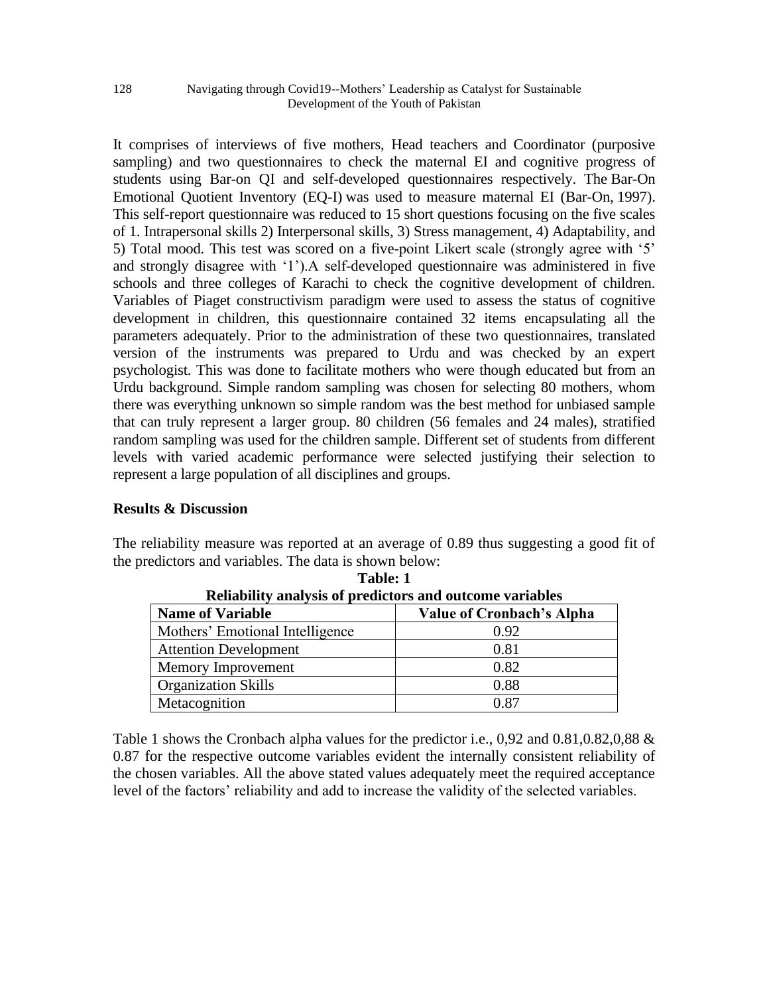It comprises of interviews of five mothers, Head teachers and Coordinator (purposive sampling) and two questionnaires to check the maternal EI and cognitive progress of students using Bar-on QI and self-developed questionnaires respectively. The Bar-On Emotional Quotient Inventory (EQ-I) was used to measure maternal EI (Bar-On, [1997\)](https://www.tandfonline.com/eprint/5AYM79RA3SEQSHVCRTVH/full?target=10.1080/17405629.2021.1918094). This self-report questionnaire was reduced to 15 short questions focusing on the five scales of 1. Intrapersonal skills 2) Interpersonal skills, 3) Stress management, 4) Adaptability, and 5) Total mood. This test was scored on a five-point Likert scale (strongly agree with '5' and strongly disagree with '1').A self-developed questionnaire was administered in five schools and three colleges of Karachi to check the cognitive development of children. Variables of Piaget constructivism paradigm were used to assess the status of cognitive development in children, this questionnaire contained 32 items encapsulating all the parameters adequately. Prior to the administration of these two questionnaires, translated version of the instruments was prepared to Urdu and was checked by an expert psychologist. This was done to facilitate mothers who were though educated but from an Urdu background. Simple random sampling was chosen for selecting 80 mothers, whom there was everything unknown so simple random was the best method for unbiased sample that can truly represent a larger group. 80 children (56 females and 24 males), stratified random sampling was used for the children sample. Different set of students from different levels with varied academic performance were selected justifying their selection to represent a large population of all disciplines and groups.

# **Results & Discussion**

The reliability measure was reported at an average of 0.89 thus suggesting a good fit of the predictors and variables. The data is shown below:

| wilayiniy amarysis of predictors and outcome variables |                                  |  |  |  |
|--------------------------------------------------------|----------------------------------|--|--|--|
| <b>Name of Variable</b>                                | <b>Value of Cronbach's Alpha</b> |  |  |  |
| Mothers' Emotional Intelligence                        | 0.92                             |  |  |  |
| <b>Attention Development</b>                           | 0.81                             |  |  |  |
| Memory Improvement                                     | 0.82                             |  |  |  |
| <b>Organization Skills</b>                             | 0.88                             |  |  |  |
| Metacognition                                          | 0.87                             |  |  |  |

**Table: 1 Reliability analysis of predictors and outcome variables**

Table 1 shows the Cronbach alpha values for the predictor i.e., 0,92 and 0.81,0.82,0,88 & 0.87 for the respective outcome variables evident the internally consistent reliability of the chosen variables. All the above stated values adequately meet the required acceptance level of the factors' reliability and add to increase the validity of the selected variables.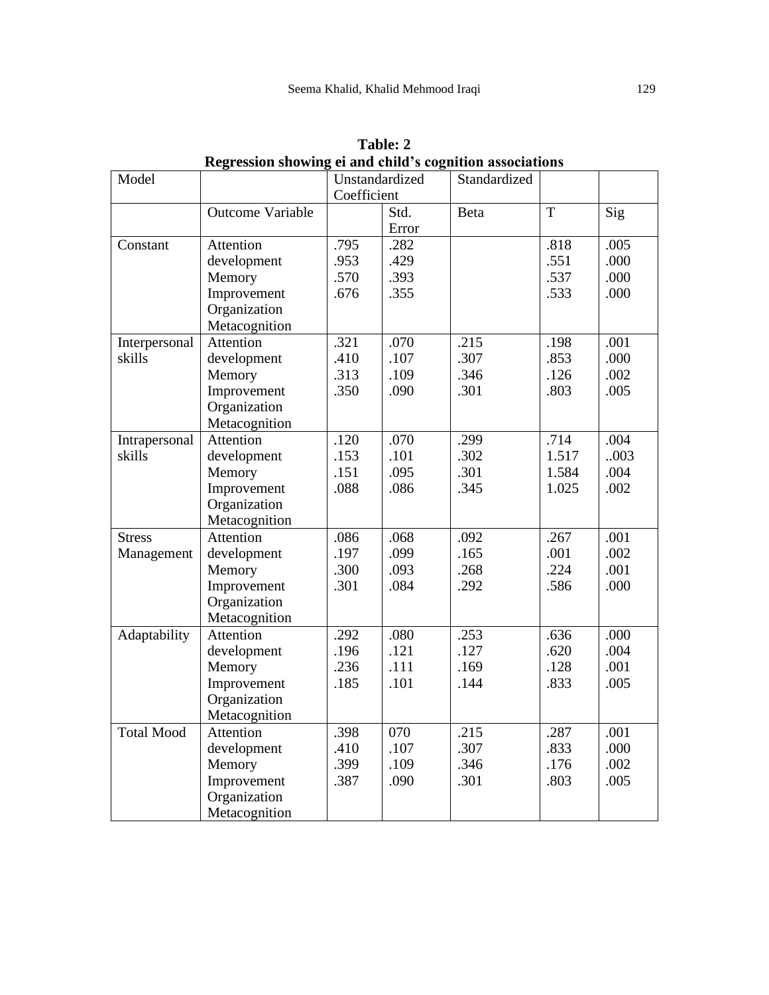| Model             |                         | Unstandardized |       | Standardized |                |      |
|-------------------|-------------------------|----------------|-------|--------------|----------------|------|
|                   |                         | Coefficient    |       |              |                |      |
|                   | <b>Outcome Variable</b> |                | Std.  | Beta         | $\overline{T}$ | Sig  |
|                   |                         |                | Error |              |                |      |
| Constant          | Attention               | .795           | .282  |              | .818           | .005 |
|                   | development             | .953           | .429  |              | .551           | .000 |
|                   | Memory                  | .570           | .393  |              | .537           | .000 |
|                   | Improvement             | .676           | .355  |              | .533           | .000 |
|                   | Organization            |                |       |              |                |      |
|                   | Metacognition           |                |       |              |                |      |
| Interpersonal     | Attention               | .321           | .070  | .215         | .198           | .001 |
| skills            | development             | .410           | .107  | .307         | .853           | .000 |
|                   | Memory                  | .313           | .109  | .346         | .126           | .002 |
|                   | Improvement             | .350           | .090  | .301         | .803           | .005 |
|                   | Organization            |                |       |              |                |      |
|                   | Metacognition           |                |       |              |                |      |
| Intrapersonal     | Attention               | .120           | .070  | .299         | .714           | .004 |
| skills            | development             | .153           | .101  | .302         | 1.517          | 003  |
|                   | Memory                  | .151           | .095  | .301         | 1.584          | .004 |
|                   | Improvement             | .088           | .086  | .345         | 1.025          | .002 |
|                   | Organization            |                |       |              |                |      |
|                   | Metacognition           |                |       |              |                |      |
| <b>Stress</b>     | Attention               | .086           | .068  | .092         | .267           | .001 |
| Management        | development             | .197           | .099  | .165         | .001           | .002 |
|                   | Memory                  | .300           | .093  | .268         | .224           | .001 |
|                   | Improvement             | .301           | .084  | .292         | .586           | .000 |
|                   | Organization            |                |       |              |                |      |
|                   | Metacognition           |                |       |              |                |      |
| Adaptability      | Attention               | .292           | .080  | .253         | .636           | .000 |
|                   | development             | .196           | .121  | .127         | .620           | .004 |
|                   | Memory                  | .236           | .111  | .169         | .128           | .001 |
|                   | Improvement             | .185           | .101  | .144         | .833           | .005 |
|                   | Organization            |                |       |              |                |      |
|                   | Metacognition           |                |       |              |                |      |
| <b>Total Mood</b> | Attention               | .398           | 070   | .215         | .287           | .001 |
|                   | development             | .410           | .107  | .307         | .833           | .000 |
|                   | Memory                  | .399           | .109  | .346         | .176           | .002 |
|                   | Improvement             | .387           | .090  | .301         | .803           | .005 |
|                   | Organization            |                |       |              |                |      |
|                   | Metacognition           |                |       |              |                |      |

**Table: 2 Regression showing ei and child's cognition associations**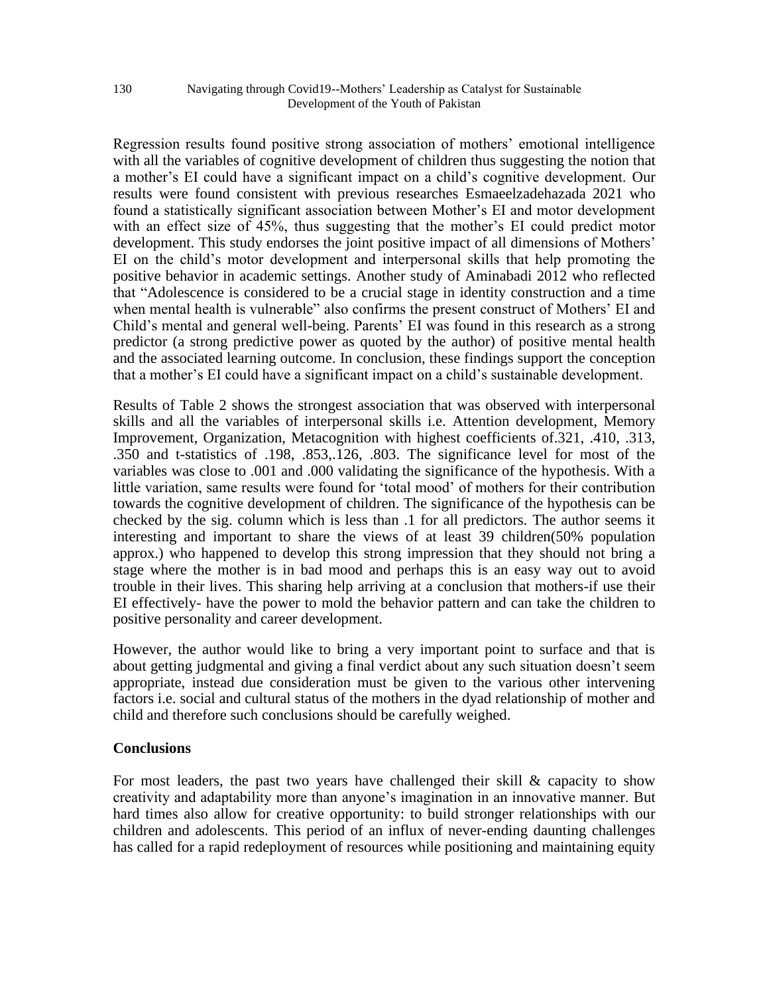Regression results found positive strong association of mothers' emotional intelligence with all the variables of cognitive development of children thus suggesting the notion that a mother's EI could have a significant impact on a child's cognitive development. Our results were found consistent with previous researches [Esmaeelzadehazada](https://www.tandfonline.com/author/Esmaeelzadehazad%2C+Sonia) 2021 who found a statistically significant association between Mother's EI and motor development with an effect size of 45%, thus suggesting that the mother's EI could predict motor development. This study endorses the joint positive impact of all dimensions of Mothers' EI on the child's motor development and interpersonal skills that help promoting the positive behavior in academic settings. Another study of Aminabadi 2012 who reflected that "Adolescence is considered to be a crucial stage in identity construction and a time when mental health is vulnerable" also confirms the present construct of Mothers' EI and Child's mental and general well-being. Parents' EI was found in this research as a strong predictor (a strong predictive power as quoted by the author) of positive mental health and the associated learning outcome. In conclusion, these findings support the conception that a mother's EI could have a significant impact on a child's sustainable development.

Results of Table 2 shows the strongest association that was observed with interpersonal skills and all the variables of interpersonal skills i.e. Attention development, Memory Improvement, Organization, Metacognition with highest coefficients of.321, .410, .313, .350 and t-statistics of .198, .853,.126, .803. The significance level for most of the variables was close to .001 and .000 validating the significance of the hypothesis. With a little variation, same results were found for 'total mood' of mothers for their contribution towards the cognitive development of children. The significance of the hypothesis can be checked by the sig. column which is less than .1 for all predictors. The author seems it interesting and important to share the views of at least 39 children(50% population approx.) who happened to develop this strong impression that they should not bring a stage where the mother is in bad mood and perhaps this is an easy way out to avoid trouble in their lives. This sharing help arriving at a conclusion that mothers-if use their EI effectively- have the power to mold the behavior pattern and can take the children to positive personality and career development.

However, the author would like to bring a very important point to surface and that is about getting judgmental and giving a final verdict about any such situation doesn't seem appropriate, instead due consideration must be given to the various other intervening factors i.e. social and cultural status of the mothers in the dyad relationship of mother and child and therefore such conclusions should be carefully weighed.

# **Conclusions**

For most leaders, the past two years have challenged their skill  $\&$  capacity to show creativity and adaptability more than anyone's imagination in an innovative manner. But hard times also allow for creative opportunity: to build stronger relationships with our children and adolescents. This period of an influx of never-ending daunting challenges has called for a rapid redeployment of resources while positioning and maintaining equity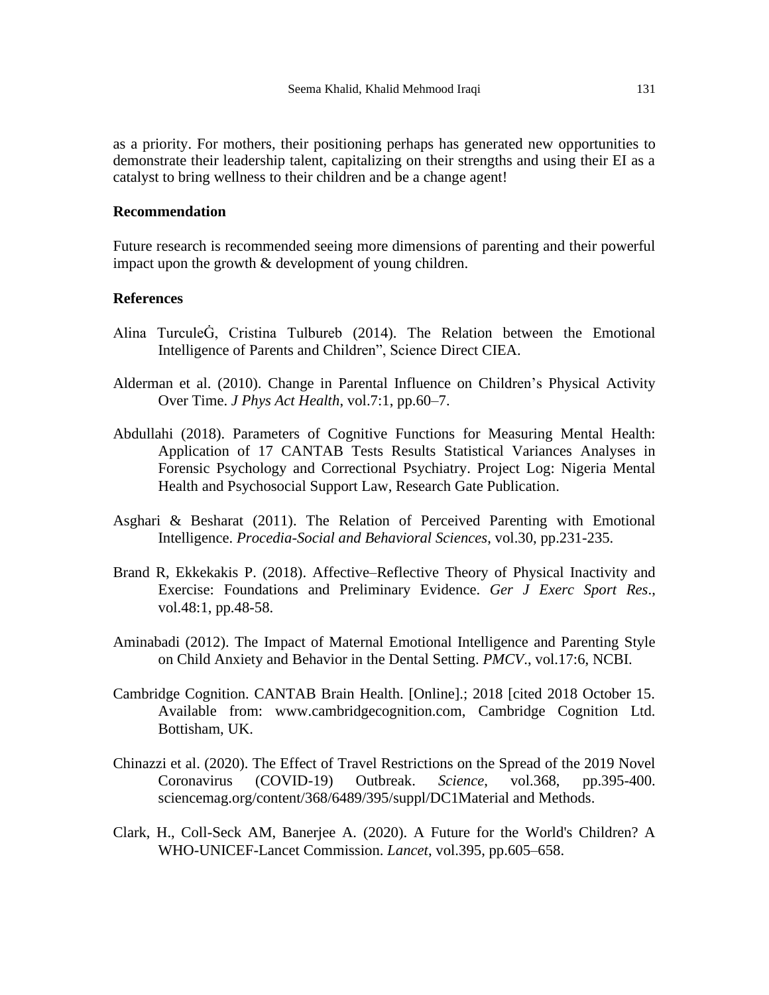as a priority. For mothers, their positioning perhaps has generated new opportunities to demonstrate their leadership talent, capitalizing on their strengths and using their EI as a catalyst to bring wellness to their children and be a change agent!

#### **Recommendation**

Future research is recommended seeing more dimensions of parenting and their powerful impact upon the growth & development of young children.

#### **References**

- Alina TurculeĠ, Cristina Tulbureb (2014). The Relation between the Emotional Intelligence of Parents and Children", Science Direct CIEA.
- Alderman et al. (2010). Change in Parental Influence on Children's Physical Activity Over Time. *J Phys Act Health*, vol.7:1, pp.60–7.
- Abdullahi (2018). Parameters of Cognitive Functions for Measuring Mental Health: Application of 17 CANTAB Tests Results Statistical Variances Analyses in Forensic Psychology and Correctional Psychiatry. Project Log: Nigeria Mental Health and Psychosocial Support Law, Research Gate Publication.
- Asghari & Besharat (2011). The Relation of Perceived Parenting with Emotional Intelligence. *Procedia-Social and Behavioral Sciences*, vol.30, pp.231-235.
- Brand R, Ekkekakis P. (2018). Affective–Reflective Theory of Physical Inactivity and Exercise: Foundations and Preliminary Evidence. *Ger J Exerc Sport Res*., vol.48:1, pp.48-58.
- [Aminabadi](https://www.ncbi.nlm.nih.gov/pubmed/?term=Aminabadi%20NA%5BAuthor%5D&cauthor=true&cauthor_uid=22926462) (2012). The Impact of Maternal Emotional Intelligence and Parenting Style on Child Anxiety and Behavior in the Dental Setting. *PMCV*., vol.17:6, NCBI.
- Cambridge Cognition. CANTAB Brain Health. [Online].; 2018 [cited 2018 October 15. Available from: www.cambridgecognition.com, Cambridge Cognition Ltd. Bottisham, UK.
- Chinazzi et al. (2020). The Effect of Travel Restrictions on the Spread of the 2019 Novel Coronavirus (COVID-19) Outbreak. *Science*, vol.368, pp.395-400. sciencemag.org/content/368/6489/395/suppl/DC1Material and Methods.
- Clark, H., Coll-Seck AM, Banerjee A. (2020). A Future for the World's Children? A WHO-UNICEF-Lancet Commission. *Lancet*, vol.395, pp.605–658.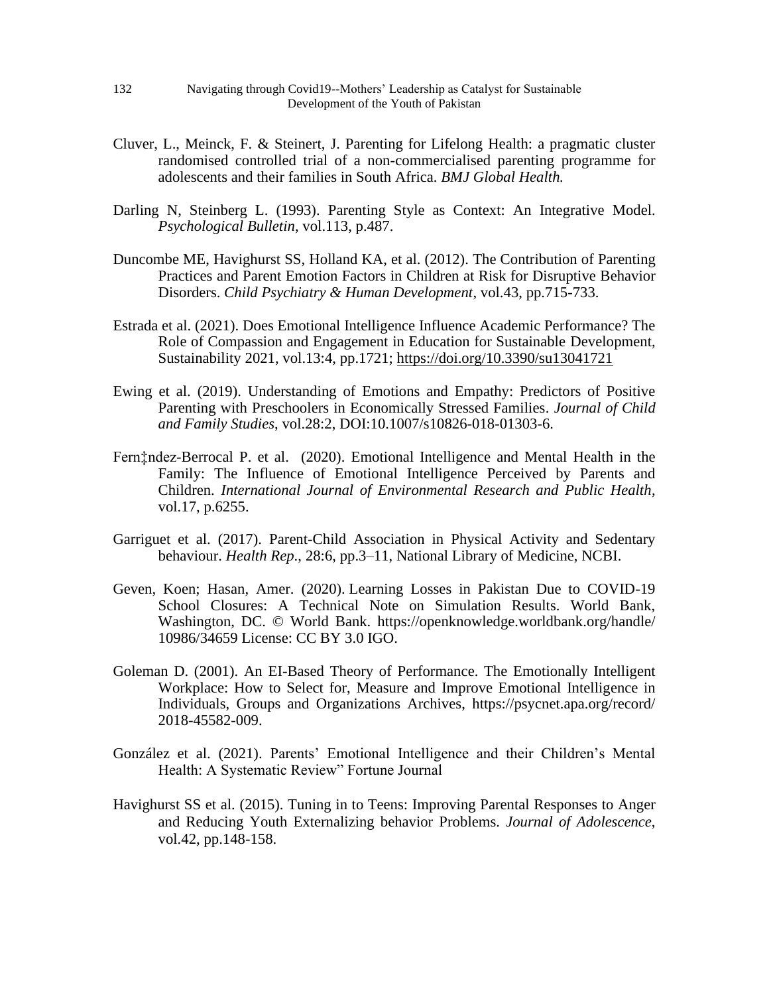- Cluver, L., Meinck, F. & Steinert, J. Parenting for Lifelong Health: a pragmatic cluster randomised controlled trial of a non-commercialised parenting programme for adolescents and their families in South Africa. *BMJ Global Health.*
- Darling N, Steinberg L. (1993). Parenting Style as Context: An Integrative Model. *Psychological Bulletin*, vol.113, p.487.
- Duncombe ME, Havighurst SS, Holland KA, et al. (2012). The Contribution of Parenting Practices and Parent Emotion Factors in Children at Risk for Disruptive Behavior Disorders. *Child Psychiatry & Human Development*, vol.43, pp.715-733.
- Estrada et al. (2021). Does Emotional Intelligence Influence Academic Performance? The Role of Compassion and Engagement in Education for Sustainable Development, Sustainability 2021, vol.13:4, pp.1721; <https://doi.org/10.3390/su13041721>
- Ewing et al. (2019). Understanding of Emotions and Empathy: Predictors of Positive Parenting with Preschoolers in Economically Stressed Families. *[Journal of Child](https://www.researchgate.net/journal/Journal-of-Child-and-Family-Studies-1573-2843)  [and Family Studies](https://www.researchgate.net/journal/Journal-of-Child-and-Family-Studies-1573-2843)*, vol.28:2, DOI[:10.1007/s10826-018-01303-6.](https://link.springer.com/article/10.1007/s10826-018-01303-6)
- Fern‡ndez-Berrocal P. et al. (2020). Emotional Intelligence and Mental Health in the Family: The Influence of Emotional Intelligence Perceived by Parents and Children. *International Journal of Environmental Research and Public Health*, vol.17, p.6255.
- Garriguet et al. (2017). Parent-Child Association in Physical Activity and Sedentary behaviour. *Health Rep*., 28:6, pp.3–11, National Library of Medicine, NCBI.
- Geven, Koen; Hasan, Amer. (2020). Learning Losses in Pakistan Due to COVID-19 School Closures: A Technical Note on Simulation Results. World Bank, Washington, DC. © World Bank. https://openknowledge.worldbank.org/handle/ 10986/34659 License: CC BY 3.0 IGO.
- Goleman D. (2001). An EI-Based Theory of Performance. The Emotionally Intelligent Workplace: How to Select for, Measure and Improve Emotional Intelligence in Individuals, Groups and Organizations Archives, https://psycnet.apa.org/record/ 2018-45582-009.
- González et al. (2021). Parents' Emotional Intelligence and their Children's Mental Health: A Systematic Review" Fortune Journal
- Havighurst SS et al. (2015). Tuning in to Teens: Improving Parental Responses to Anger and Reducing Youth Externalizing behavior Problems. *Journal of Adolescence*, vol.42, pp.148-158.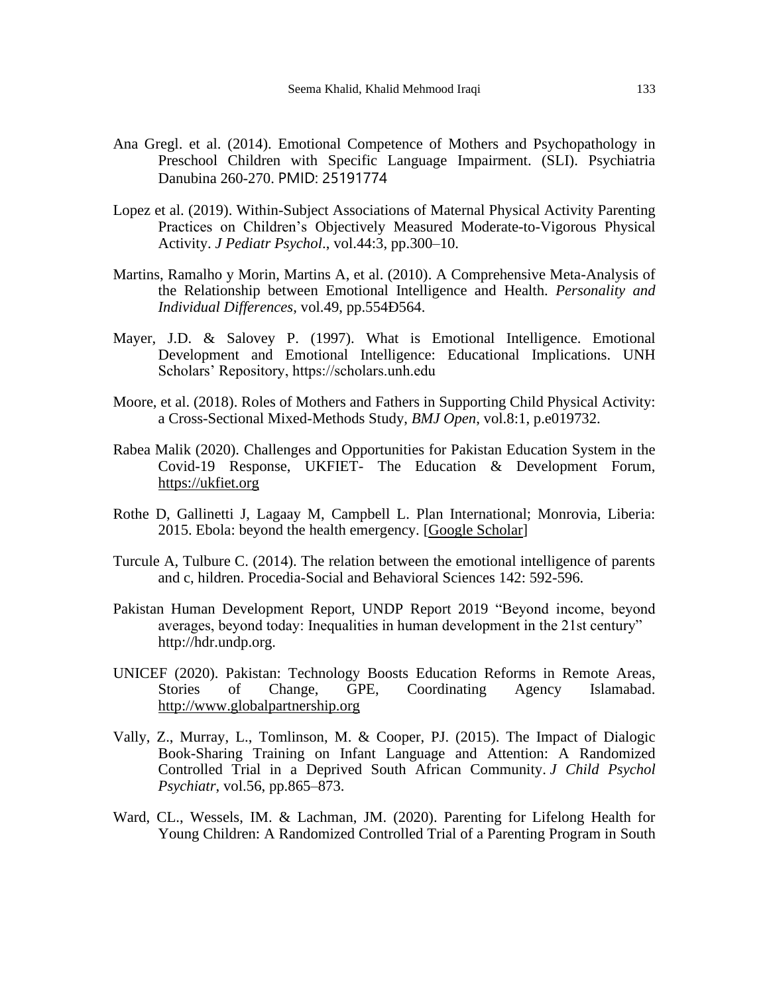- Ana Gregl. et al. (2014). Emotional Competence of Mothers and Psychopathology in Preschool Children with Specific Language Impairment. (SLI). Psychiatria Danubina 260-270. PMID: 25191774
- Lopez et al. (2019). Within-Subject Associations of Maternal Physical Activity Parenting Practices on Children's Objectively Measured Moderate-to-Vigorous Physical Activity. *J Pediatr Psychol*., vol.44:3, pp.300–10.
- Martins, Ramalho y Morin, Martins A, et al. (2010). A Comprehensive Meta-Analysis of the Relationship between Emotional Intelligence and Health. *Personality and Individual Differences*, vol.49, pp.554Ð564.
- Mayer, J.D. & Salovey P. (1997). What is Emotional Intelligence. Emotional Development and Emotional Intelligence: Educational Implications. UNH Scholars' Repository, https://scholars.unh.edu
- Moore, et al. (2018). Roles of Mothers and Fathers in Supporting Child Physical Activity: a Cross-Sectional Mixed-Methods Study, *BMJ Open*, vol.8:1, p.e019732.
- Rabea Malik (2020). Challenges and Opportunities for Pakistan Education System in the Covid-19 Response, UKFIET- The Education & Development Forum, [https://ukfiet.org](https://ukfiet.org/)
- Rothe D, Gallinetti J, Lagaay M, Campbell L. Plan International; Monrovia, Liberia: 2015. Ebola: beyond the health emergency. [\[Google Scholar\]](https://scholar.google.com/scholar?q=Rothe+D+Gallinetti+J+Lagaay+M+Campbell+L+Ebola:+beyond+the+health+emergency+2015+Plan+International+Monrovia,+Liberia+)
- Turcule A, Tulbure C. (2014). The relation between the emotional intelligence of parents and c, hildren. Procedia-Social and Behavioral Sciences 142: 592-596.
- Pakistan Human Development Report, UNDP Report 2019 "Beyond income, beyond averages, beyond today: Inequalities in human development in the 21st century" http://hdr.undp.org.
- UNICEF (2020). Pakistan: Technology Boosts Education Reforms in Remote Areas, Stories of Change, GPE, Coordinating Agency Islamabad. [http://www.globalpartnership.org](http://www.globalpartnership.org/)
- Vally, Z., Murray, L., Tomlinson, M. & Cooper, PJ. (2015). The Impact of Dialogic Book-Sharing Training on Infant Language and Attention: A Randomized Controlled Trial in a Deprived South African Community. *J Child Psychol Psychiatr*, vol.56, pp.865–873.
- Ward, CL., Wessels, IM. & Lachman, JM. (2020). Parenting for Lifelong Health for Young Children: A Randomized Controlled Trial of a Parenting Program in South